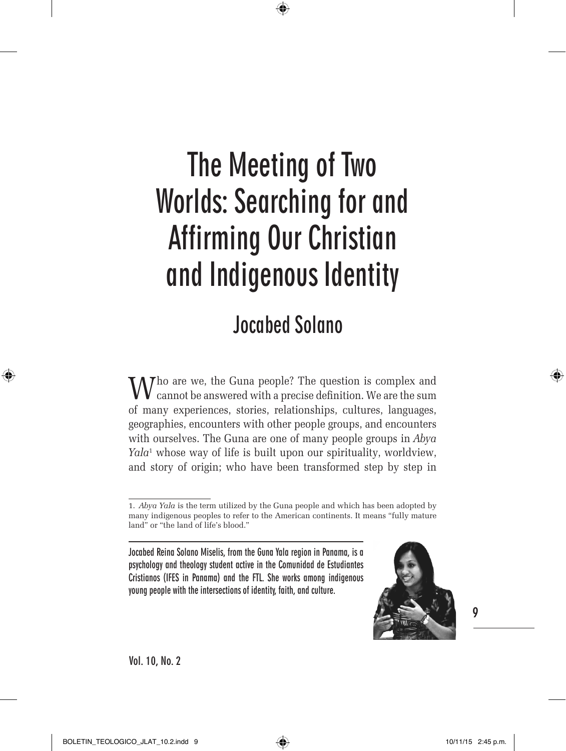⊕

# **Jocabed Solano**

 $\sum$  Tho are we, the Guna people? The question is complex and cannot be answered with a precise definition. We are the sum of many experiences, stories, relationships, cultures, languages, geographies, encounters with other people groups, and encounters with ourselves. The Guna are one of many people groups in *Abya Yala*<sup>1</sup> whose way of life is built upon our spirituality, worldview, and story of origin; who have been transformed step by step in

**Jocabed Reina Solano Miselis, from the Guna Yala region in Panama, is a psychology and theology student active in the Comunidad de Estudiantes Cristianos (IFES in Panama) and the FTL. She works among indigenous young people with the intersections of identity, faith, and culture.**



**9**

⊕

**Vol. 10, No. 2**

<sup>1.</sup> *Abya Yala* is the term utilized by the Guna people and which has been adopted by many indigenous peoples to refer to the American continents. It means "fully mature land" or "the land of life's blood."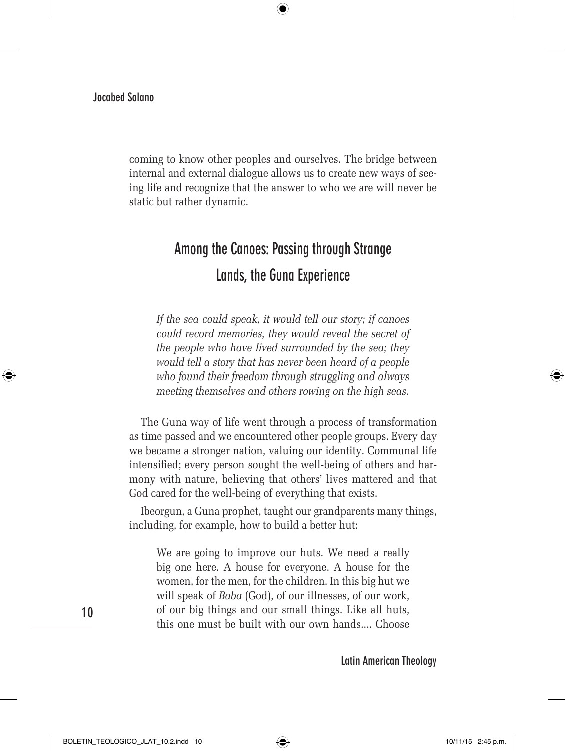coming to know other peoples and ourselves. The bridge between internal and external dialogue allows us to create new ways of seeing life and recognize that the answer to who we are will never be static but rather dynamic.

 $\bigoplus$ 

# **Among the Canoes: Passing through Strange Lands, the Guna Experience**

*If the sea could speak, it would tell our story; if canoes could record memories, they would reveal the secret of the people who have lived surrounded by the sea; they would tell a story that has never been heard of a people who found their freedom through struggling and always meeting themselves and others rowing on the high seas.*

The Guna way of life went through a process of transformation as time passed and we encountered other people groups. Every day we became a stronger nation, valuing our identity. Communal life intensified; every person sought the well-being of others and harmony with nature, believing that others' lives mattered and that God cared for the well-being of everything that exists.

Ibeorgun, a Guna prophet, taught our grandparents many things, including, for example, how to build a better hut:

We are going to improve our huts. We need a really big one here. A house for everyone. A house for the women, for the men, for the children. In this big hut we will speak of *Baba* (God), of our illnesses, of our work, of our big things and our small things. Like all huts, this one must be built with our own hands.... Choose

**Latin American Theology**

**10**

⊕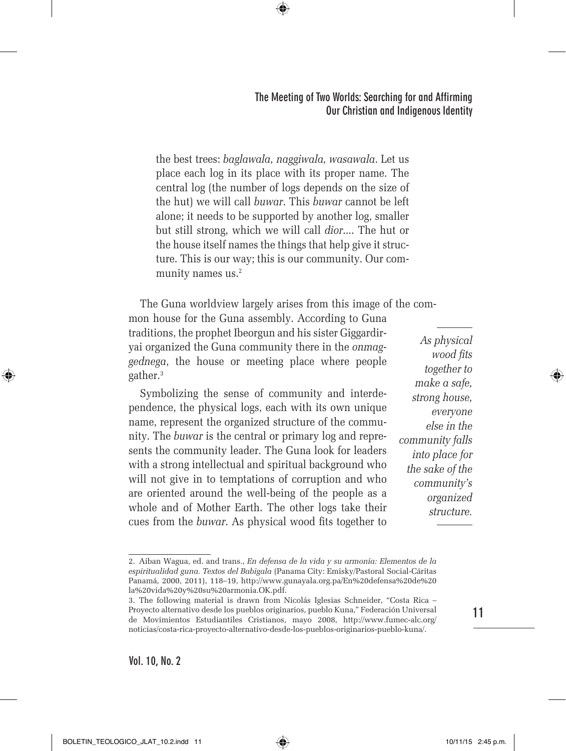the best trees: *baglawala, naggiwala, wasawala*. Let us place each log in its place with its proper name. The central log (the number of logs depends on the size of the hut) we will call *buwar*. This *buwar* cannot be left alone; it needs to be supported by another log, smaller but still strong, which we will call *dior*.... The hut or the house itself names the things that help give it structure. This is our way; this is our community. Our community names us.<sup>2</sup>

⊕

The Guna worldview largely arises from this image of the common house for the Guna assembly. According to Guna

traditions, the prophet Ibeorgun and his sister Giggardiryai organized the Guna community there in the *onmaggednega*, the house or meeting place where people gather.<sup>3</sup>

Symbolizing the sense of community and interdependence, the physical logs, each with its own unique name, represent the organized structure of the community. The *buwar* is the central or primary log and represents the community leader. The Guna look for leaders with a strong intellectual and spiritual background who will not give in to temptations of corruption and who are oriented around the well-being of the people as a whole and of Mother Earth. The other logs take their cues from the *buwar*. As physical wood fits together to

*As physical wood fits together to make a safe, strong house, everyone else in the community falls into place for the sake of the community's organized structure.*

**11**

⊕

<sup>2.</sup> Aiban Wagua, ed. and trans., *En defensa de la vida y su armonía: Elementos de la espiritualidad guna. Textos del Babigala* (Panama City: Emisky/Pastoral Social-Cáritas Panamá, 2000, 2011), 118–19, http://www.gunayala.org.pa/En%20defensa%20de%20 la%20vida%20y%20su%20armonia.OK.pdf.

<sup>3.</sup> The following material is drawn from Nicolás Iglesias Schneider, "Costa Rica – Proyecto alternativo desde los pueblos originarios, pueblo Kuna," Federación Universal de Movimientos Estudiantiles Cristianos, mayo 2008, http://www.fumec-alc.org/ noticias/costa-rica-proyecto-alternativo-desde-los-pueblos-originarios-pueblo-kuna/.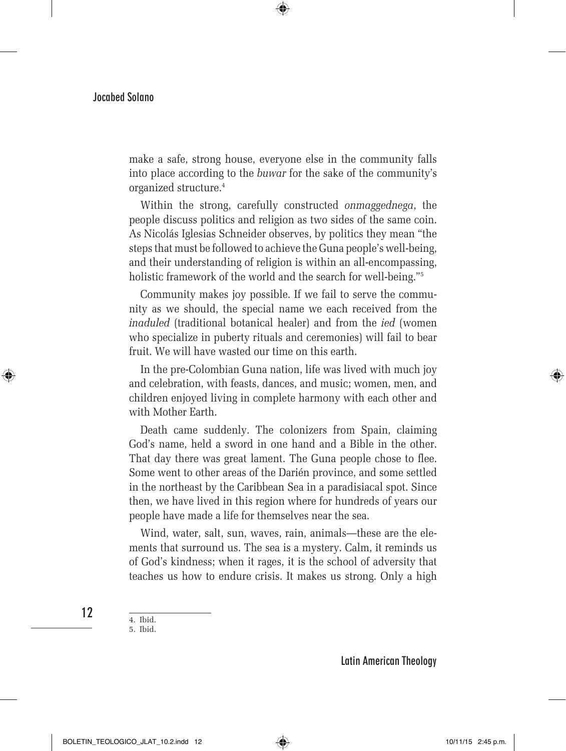make a safe, strong house, everyone else in the community falls into place according to the *buwar* for the sake of the community's organized structure.4

 $\bigoplus$ 

Within the strong, carefully constructed *onmaggednega*, the people discuss politics and religion as two sides of the same coin. As Nicolás Iglesias Schneider observes, by politics they mean "the steps that must be followed to achieve the Guna people's well-being, and their understanding of religion is within an all-encompassing, holistic framework of the world and the search for well-being."<sup>5</sup>

Community makes joy possible. If we fail to serve the community as we should, the special name we each received from the *inaduled* (traditional botanical healer) and from the *ied* (women who specialize in puberty rituals and ceremonies) will fail to bear fruit. We will have wasted our time on this earth.

In the pre-Colombian Guna nation, life was lived with much joy and celebration, with feasts, dances, and music; women, men, and children enjoyed living in complete harmony with each other and with Mother Earth.

Death came suddenly. The colonizers from Spain, claiming God's name, held a sword in one hand and a Bible in the other. That day there was great lament. The Guna people chose to flee. Some went to other areas of the Darién province, and some settled in the northeast by the Caribbean Sea in a paradisiacal spot. Since then, we have lived in this region where for hundreds of years our people have made a life for themselves near the sea.

Wind, water, salt, sun, waves, rain, animals—these are the elements that surround us. The sea is a mystery. Calm, it reminds us of God's kindness; when it rages, it is the school of adversity that teaches us how to endure crisis. It makes us strong. Only a high

4. Ibid.

**12**

⊕

5. Ibid.

**Latin American Theology**

BOLETIN\_TEOLOGICO\_JLAT\_10.2.indd 12 10/11/15 2:45 p.m.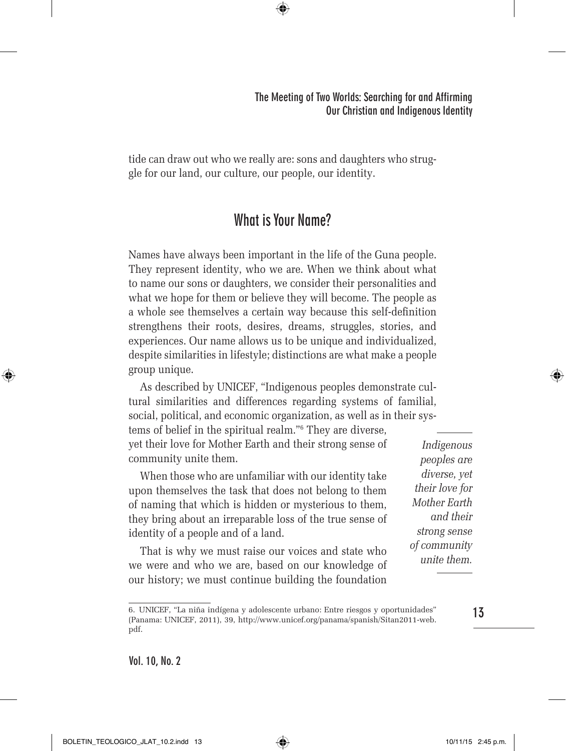tide can draw out who we really are: sons and daughters who struggle for our land, our culture, our people, our identity.

 $\bigoplus$ 

# **What is Your Name?**

Names have always been important in the life of the Guna people. They represent identity, who we are. When we think about what to name our sons or daughters, we consider their personalities and what we hope for them or believe they will become. The people as a whole see themselves a certain way because this self-definition strengthens their roots, desires, dreams, struggles, stories, and experiences. Our name allows us to be unique and individualized, despite similarities in lifestyle; distinctions are what make a people group unique.

As described by UNICEF, "Indigenous peoples demonstrate cultural similarities and differences regarding systems of familial, social, political, and economic organization, as well as in their sys-

tems of belief in the spiritual realm."6 They are diverse, yet their love for Mother Earth and their strong sense of community unite them.

When those who are unfamiliar with our identity take upon themselves the task that does not belong to them of naming that which is hidden or mysterious to them, they bring about an irreparable loss of the true sense of identity of a people and of a land.

That is why we must raise our voices and state who we were and who we are, based on our knowledge of our history; we must continue building the foundation

*Indigenous peoples are diverse, yet their love for Mother Earth and their strong sense of community unite them.*

**Vol. 10, No. 2**

BOLETIN\_TEOLOGICO\_JLAT\_10.2.indd 13 10/11/15 2:45 p.m.

⊕

**13**

<sup>6.</sup> UNICEF, "La niña indígena y adolescente urbano: Entre riesgos y oportunidades" (Panama: UNICEF, 2011), 39, http://www.unicef.org/panama/spanish/Sitan2011-web. pdf.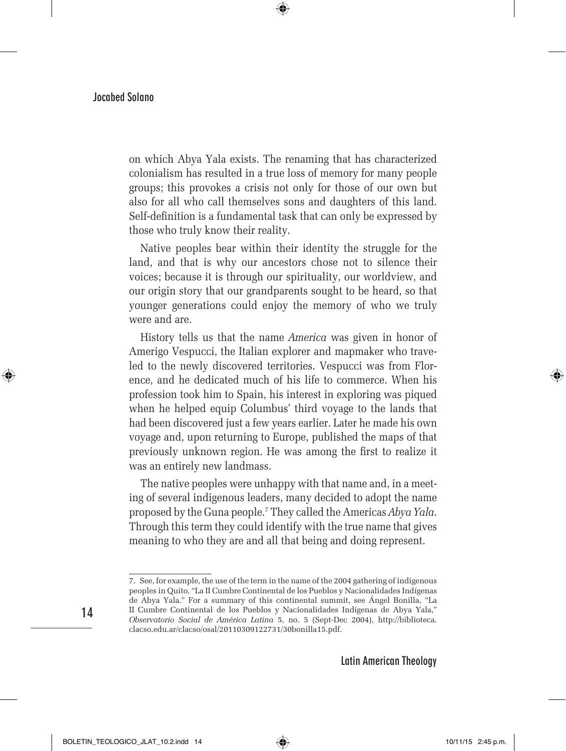on which Abya Yala exists. The renaming that has characterized colonialism has resulted in a true loss of memory for many people groups; this provokes a crisis not only for those of our own but also for all who call themselves sons and daughters of this land. Self-definition is a fundamental task that can only be expressed by those who truly know their reality.

⊕

Native peoples bear within their identity the struggle for the land, and that is why our ancestors chose not to silence their voices; because it is through our spirituality, our worldview, and our origin story that our grandparents sought to be heard, so that younger generations could enjoy the memory of who we truly were and are.

History tells us that the name *America* was given in honor of Amerigo Vespucci, the Italian explorer and mapmaker who traveled to the newly discovered territories. Vespucci was from Florence, and he dedicated much of his life to commerce. When his profession took him to Spain, his interest in exploring was piqued when he helped equip Columbus' third voyage to the lands that had been discovered just a few years earlier. Later he made his own voyage and, upon returning to Europe, published the maps of that previously unknown region. He was among the first to realize it was an entirely new landmass.

The native peoples were unhappy with that name and, in a meeting of several indigenous leaders, many decided to adopt the name proposed by the Guna people.7 They called the Americas *Abya Yala*. Through this term they could identify with the true name that gives meaning to who they are and all that being and doing represent.

**Latin American Theology**

**14**

⊕

<sup>7.</sup> See, for example, the use of the term in the name of the 2004 gathering of indigenous peoples in Quito, "La II Cumbre Continental de los Pueblos y Nacionalidades Indígenas de Abya Yala." For a summary of this continental summit, see Ángel Bonilla, "La II Cumbre Continental de los Pueblos y Nacionalidades Indígenas de Abya Yala," *Observatorio Social de América Latina* 5, no. 5 (Sept-Dec 2004), http://biblioteca. clacso.edu.ar/clacso/osal/20110309122731/30bonilla15.pdf.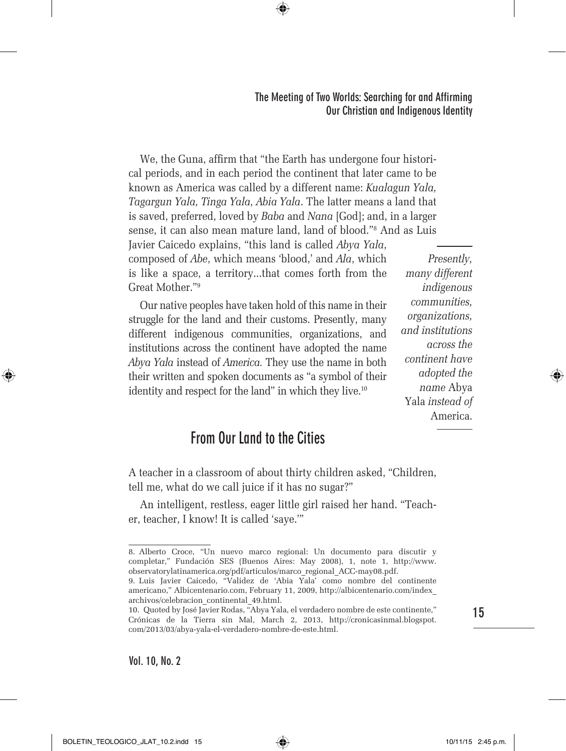We, the Guna, affirm that "the Earth has undergone four historical periods, and in each period the continent that later came to be known as America was called by a different name: *Kualagun Yala, Tagargun Yala, Tinga Yala, Abia Yala*. The latter means a land that is saved, preferred, loved by *Baba* and *Nana* [God]; and, in a larger sense, it can also mean mature land, land of blood."8 And as Luis

⊕

Javier Caicedo explains, "this land is called *Abya Yala*, composed of *Abe*, which means 'blood,' and *Ala*, which is like a space, a territory...that comes forth from the Great Mother."9

Our native peoples have taken hold of this name in their struggle for the land and their customs. Presently, many different indigenous communities, organizations, and institutions across the continent have adopted the name *Abya Yala* instead of *America.* They use the name in both their written and spoken documents as "a symbol of their identity and respect for the land" in which they live.<sup>10</sup>

*Presently, many different indigenous communities, organizations, and institutions across the continent have adopted the name* Abya Yala *instead of*  America.

# **From Our Land to the Cities**

A teacher in a classroom of about thirty children asked, "Children, tell me, what do we call juice if it has no sugar?"

An intelligent, restless, eager little girl raised her hand. "Teacher, teacher, I know! It is called 'saye.'"

⊕

<sup>8.</sup> Alberto Croce, "Un nuevo marco regional: Un documento para discutir y completar," Fundación SES (Buenos Aires: May 2008), 1, note 1, http://www. observatorylatinamerica.org/pdf/articulos/marco\_regional\_ACC-may08.pdf.

<sup>9.</sup> Luis Javier Caicedo, "Validez de 'Abia Yala' como nombre del continente americano," Albicentenario.com, February 11, 2009, http://albicentenario.com/index\_ archivos/celebracion\_continental\_49.html.

<sup>10.</sup> Quoted by José Javier Rodas, "Abya Yala, el verdadero nombre de este continente," Crónicas de la Tierra sin Mal, March 2, 2013, http://cronicasinmal.blogspot. com/2013/03/abya-yala-el-verdadero-nombre-de-este.html.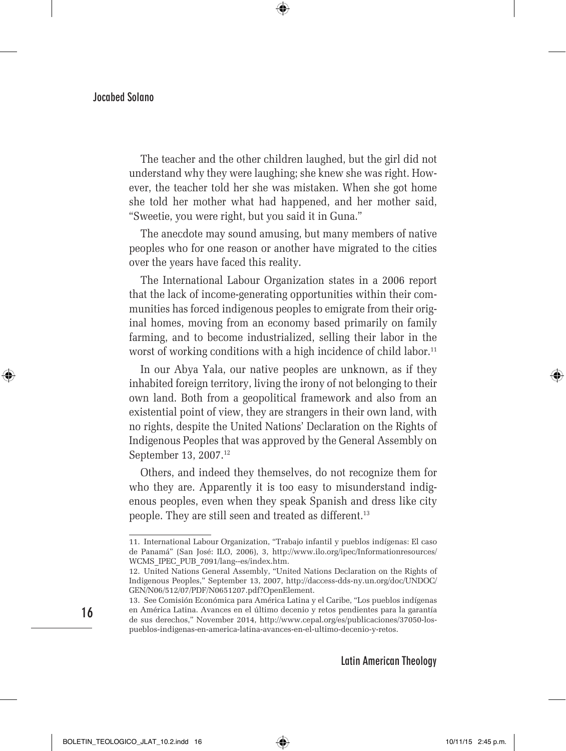The teacher and the other children laughed, but the girl did not understand why they were laughing; she knew she was right. However, the teacher told her she was mistaken. When she got home she told her mother what had happened, and her mother said, "Sweetie, you were right, but you said it in Guna."

⊕

The anecdote may sound amusing, but many members of native peoples who for one reason or another have migrated to the cities over the years have faced this reality.

The International Labour Organization states in a 2006 report that the lack of income-generating opportunities within their communities has forced indigenous peoples to emigrate from their original homes, moving from an economy based primarily on family farming, and to become industrialized, selling their labor in the worst of working conditions with a high incidence of child labor.<sup>11</sup>

In our Abya Yala, our native peoples are unknown, as if they inhabited foreign territory, living the irony of not belonging to their own land. Both from a geopolitical framework and also from an existential point of view, they are strangers in their own land, with no rights, despite the United Nations' Declaration on the Rights of Indigenous Peoples that was approved by the General Assembly on September 13, 2007.12

Others, and indeed they themselves, do not recognize them for who they are. Apparently it is too easy to misunderstand indigenous peoples, even when they speak Spanish and dress like city people. They are still seen and treated as different.<sup>13</sup>

**Latin American Theology**

**16**

⊕

⇔

<sup>11.</sup> International Labour Organization, "Trabajo infantil y pueblos indígenas: El caso de Panamá" (San José: ILO, 2006), 3, http://www.ilo.org/ipec/Informationresources/ WCMS\_IPEC\_PUB\_7091/lang--es/index.htm.

<sup>12.</sup> United Nations General Assembly, "United Nations Declaration on the Rights of Indigenous Peoples," September 13, 2007, http://daccess-dds-ny.un.org/doc/UNDOC/ GEN/N06/512/07/PDF/N0651207.pdf?OpenElement.

<sup>13.</sup> See Comisión Económica para América Latina y el Caribe, "Los pueblos indígenas en América Latina. Avances en el último decenio y retos pendientes para la garantía de sus derechos," November 2014, http://www.cepal.org/es/publicaciones/37050-lospueblos-indigenas-en-america-latina-avances-en-el-ultimo-decenio-y-retos.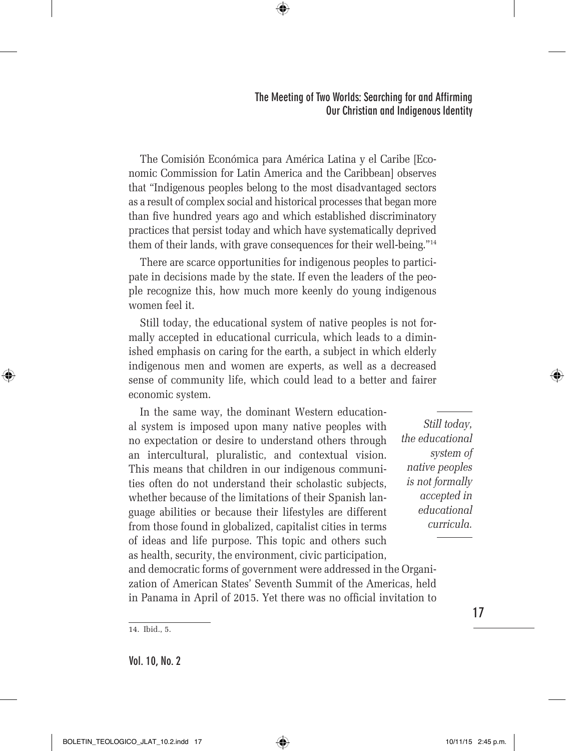The Comisión Económica para América Latina y el Caribe [Economic Commission for Latin America and the Caribbean] observes that "Indigenous peoples belong to the most disadvantaged sectors as a result of complex social and historical processes that began more than five hundred years ago and which established discriminatory practices that persist today and which have systematically deprived them of their lands, with grave consequences for their well-being."14

 $\bigoplus$ 

There are scarce opportunities for indigenous peoples to participate in decisions made by the state. If even the leaders of the people recognize this, how much more keenly do young indigenous women feel it.

Still today, the educational system of native peoples is not formally accepted in educational curricula, which leads to a diminished emphasis on caring for the earth, a subject in which elderly indigenous men and women are experts, as well as a decreased sense of community life, which could lead to a better and fairer economic system.

In the same way, the dominant Western educational system is imposed upon many native peoples with no expectation or desire to understand others through an intercultural, pluralistic, and contextual vision. This means that children in our indigenous communities often do not understand their scholastic subjects, whether because of the limitations of their Spanish language abilities or because their lifestyles are different from those found in globalized, capitalist cities in terms of ideas and life purpose. This topic and others such as health, security, the environment, civic participation,

*Still today, the educational system of native peoples is not formally accepted in educational curricula.*

and democratic forms of government were addressed in the Organization of American States' Seventh Summit of the Americas, held in Panama in April of 2015. Yet there was no official invitation to

⊕

**Vol. 10, No. 2**

**17**

<sup>14.</sup> Ibid., 5.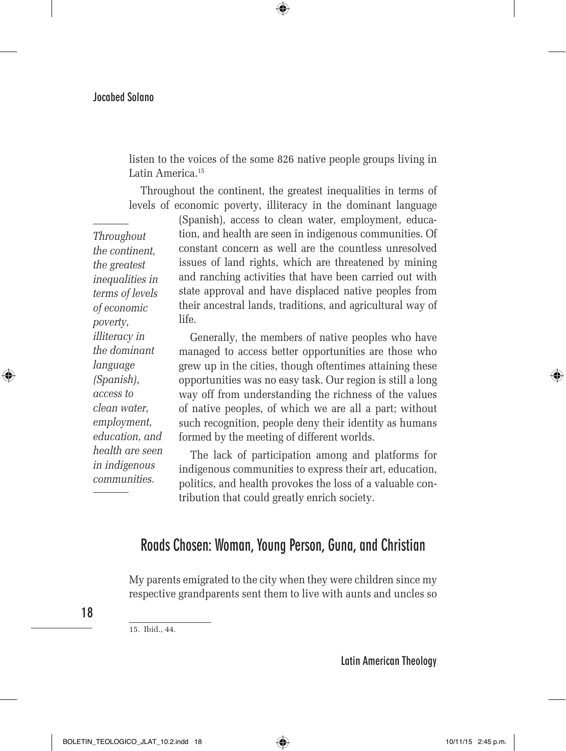listen to the voices of the some 826 native people groups living in Latin America.<sup>15</sup>

 $\bigoplus$ 

Throughout the continent, the greatest inequalities in terms of levels of economic poverty, illiteracy in the dominant language

*Throughout the continent, the greatest inequalities in terms of levels of economic poverty, illiteracy in the dominant language (Spanish), access to clean water, employment, education, and health are seen in indigenous communities.*

⊕

(Spanish), access to clean water, employment, education, and health are seen in indigenous communities. Of constant concern as well are the countless unresolved issues of land rights, which are threatened by mining and ranching activities that have been carried out with state approval and have displaced native peoples from their ancestral lands, traditions, and agricultural way of life.

Generally, the members of native peoples who have managed to access better opportunities are those who grew up in the cities, though oftentimes attaining these opportunities was no easy task. Our region is still a long way off from understanding the richness of the values of native peoples, of which we are all a part; without such recognition, people deny their identity as humans formed by the meeting of different worlds.

The lack of participation among and platforms for indigenous communities to express their art, education, politics, and health provokes the loss of a valuable contribution that could greatly enrich society.

## **Roads Chosen: Woman, Young Person, Guna, and Christian**

My parents emigrated to the city when they were children since my respective grandparents sent them to live with aunts and uncles so

**18**

15. Ibid., 44.

**Latin American Theology**

BOLETIN\_TEOLOGICO\_JLAT\_10.2.indd 18 10/11/15 2:45 p.m.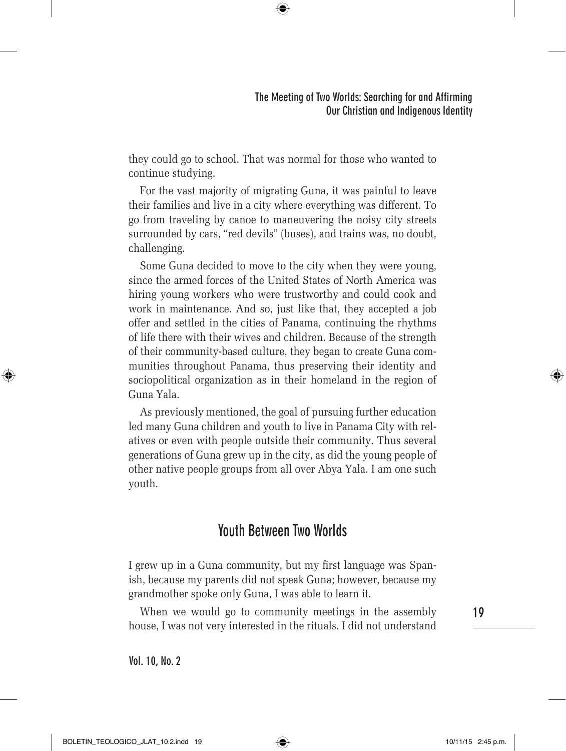they could go to school. That was normal for those who wanted to continue studying.

 $\bigoplus$ 

For the vast majority of migrating Guna, it was painful to leave their families and live in a city where everything was different. To go from traveling by canoe to maneuvering the noisy city streets surrounded by cars, "red devils" (buses), and trains was, no doubt, challenging.

Some Guna decided to move to the city when they were young, since the armed forces of the United States of North America was hiring young workers who were trustworthy and could cook and work in maintenance. And so, just like that, they accepted a job offer and settled in the cities of Panama, continuing the rhythms of life there with their wives and children. Because of the strength of their community-based culture, they began to create Guna communities throughout Panama, thus preserving their identity and sociopolitical organization as in their homeland in the region of Guna Yala.

As previously mentioned, the goal of pursuing further education led many Guna children and youth to live in Panama City with relatives or even with people outside their community. Thus several generations of Guna grew up in the city, as did the young people of other native people groups from all over Abya Yala. I am one such youth.

# **Youth Between Two Worlds**

I grew up in a Guna community, but my first language was Spanish, because my parents did not speak Guna; however, because my grandmother spoke only Guna, I was able to learn it.

When we would go to community meetings in the assembly house, I was not very interested in the rituals. I did not understand

**Vol. 10, No. 2**

**19**

⊕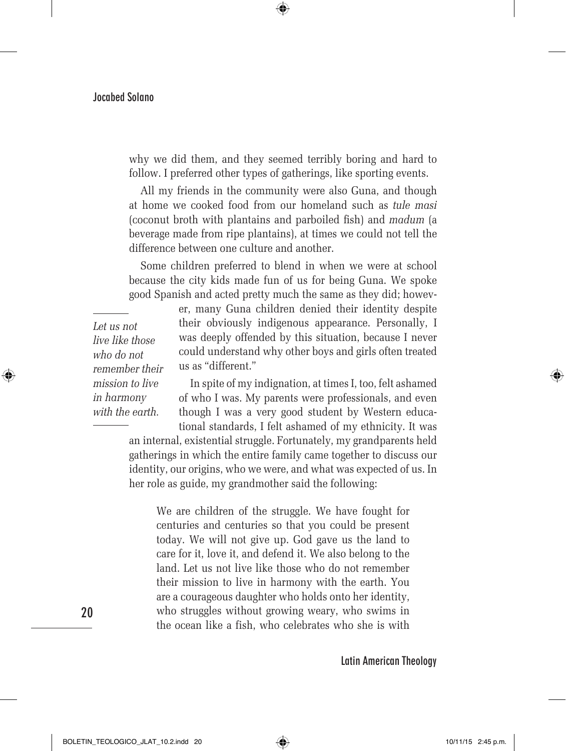why we did them, and they seemed terribly boring and hard to follow. I preferred other types of gatherings, like sporting events.

 $\bigoplus$ 

All my friends in the community were also Guna, and though at home we cooked food from our homeland such as *tule masi* (coconut broth with plantains and parboiled fish) and *madum* (a beverage made from ripe plantains), at times we could not tell the difference between one culture and another.

Some children preferred to blend in when we were at school because the city kids made fun of us for being Guna. We spoke good Spanish and acted pretty much the same as they did; howev-

*Let us not live like those who do not remember their mission to live in harmony with the earth.*

⊕

er, many Guna children denied their identity despite their obviously indigenous appearance. Personally, I was deeply offended by this situation, because I never could understand why other boys and girls often treated us as "different."

In spite of my indignation, at times I, too, felt ashamed of who I was. My parents were professionals, and even though I was a very good student by Western educational standards, I felt ashamed of my ethnicity. It was

an internal, existential struggle. Fortunately, my grandparents held gatherings in which the entire family came together to discuss our identity, our origins, who we were, and what was expected of us. In her role as guide, my grandmother said the following:

We are children of the struggle. We have fought for centuries and centuries so that you could be present today. We will not give up. God gave us the land to care for it, love it, and defend it. We also belong to the land. Let us not live like those who do not remember their mission to live in harmony with the earth. You are a courageous daughter who holds onto her identity, who struggles without growing weary, who swims in the ocean like a fish, who celebrates who she is with

**Latin American Theology**

**20**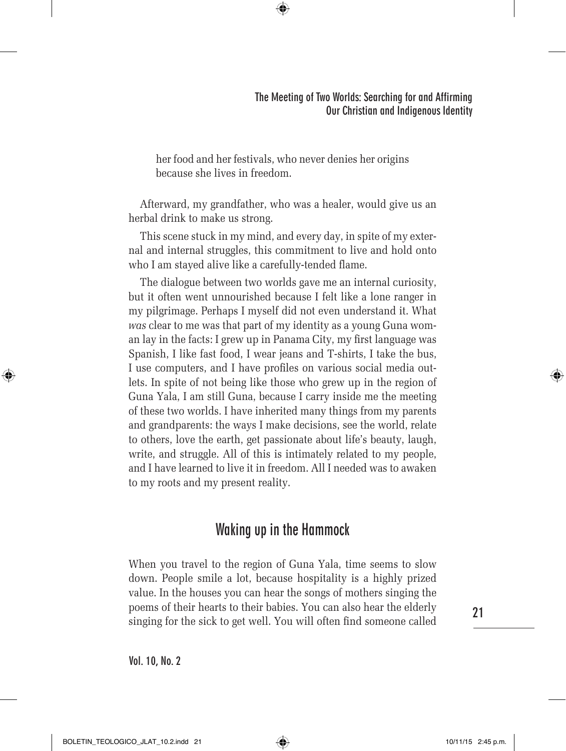her food and her festivals, who never denies her origins because she lives in freedom.

 $\bigoplus$ 

Afterward, my grandfather, who was a healer, would give us an herbal drink to make us strong.

This scene stuck in my mind, and every day, in spite of my external and internal struggles, this commitment to live and hold onto who I am stayed alive like a carefully-tended flame.

The dialogue between two worlds gave me an internal curiosity, but it often went unnourished because I felt like a lone ranger in my pilgrimage. Perhaps I myself did not even understand it. What *was* clear to me was that part of my identity as a young Guna woman lay in the facts: I grew up in Panama City, my first language was Spanish, I like fast food, I wear jeans and T-shirts, I take the bus, I use computers, and I have profiles on various social media outlets. In spite of not being like those who grew up in the region of Guna Yala, I am still Guna, because I carry inside me the meeting of these two worlds. I have inherited many things from my parents and grandparents: the ways I make decisions, see the world, relate to others, love the earth, get passionate about life's beauty, laugh, write, and struggle. All of this is intimately related to my people, and I have learned to live it in freedom. All I needed was to awaken to my roots and my present reality.

### **Waking up in the Hammock**

When you travel to the region of Guna Yala, time seems to slow down. People smile a lot, because hospitality is a highly prized value. In the houses you can hear the songs of mothers singing the poems of their hearts to their babies. You can also hear the elderly singing for the sick to get well. You will often find someone called

**Vol. 10, No. 2**

**21**

⊕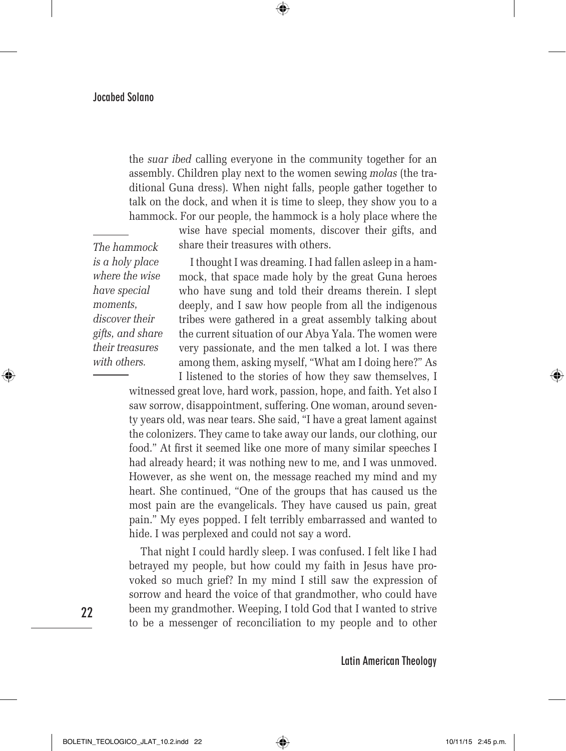the *suar ibed* calling everyone in the community together for an assembly. Children play next to the women sewing *molas* (the traditional Guna dress). When night falls, people gather together to talk on the dock, and when it is time to sleep, they show you to a hammock. For our people, the hammock is a holy place where the

 $\bigoplus$ 

wise have special moments, discover their gifts, and share their treasures with others.

*The hammock is a holy place where the wise have special moments, discover their gifts, and share their treasures with others.*

I thought I was dreaming. I had fallen asleep in a hammock, that space made holy by the great Guna heroes who have sung and told their dreams therein. I slept deeply, and I saw how people from all the indigenous tribes were gathered in a great assembly talking about the current situation of our Abya Yala. The women were very passionate, and the men talked a lot. I was there among them, asking myself, "What am I doing here?" As

I listened to the stories of how they saw themselves, I witnessed great love, hard work, passion, hope, and faith. Yet also I saw sorrow, disappointment, suffering. One woman, around seventy years old, was near tears. She said, "I have a great lament against the colonizers. They came to take away our lands, our clothing, our food." At first it seemed like one more of many similar speeches I had already heard; it was nothing new to me, and I was unmoved. However, as she went on, the message reached my mind and my heart. She continued, "One of the groups that has caused us the most pain are the evangelicals. They have caused us pain, great pain." My eyes popped. I felt terribly embarrassed and wanted to hide. I was perplexed and could not say a word.

That night I could hardly sleep. I was confused. I felt like I had betrayed my people, but how could my faith in Jesus have provoked so much grief? In my mind I still saw the expression of sorrow and heard the voice of that grandmother, who could have been my grandmother. Weeping, I told God that I wanted to strive to be a messenger of reconciliation to my people and to other

**Latin American Theology**

**22**

⊕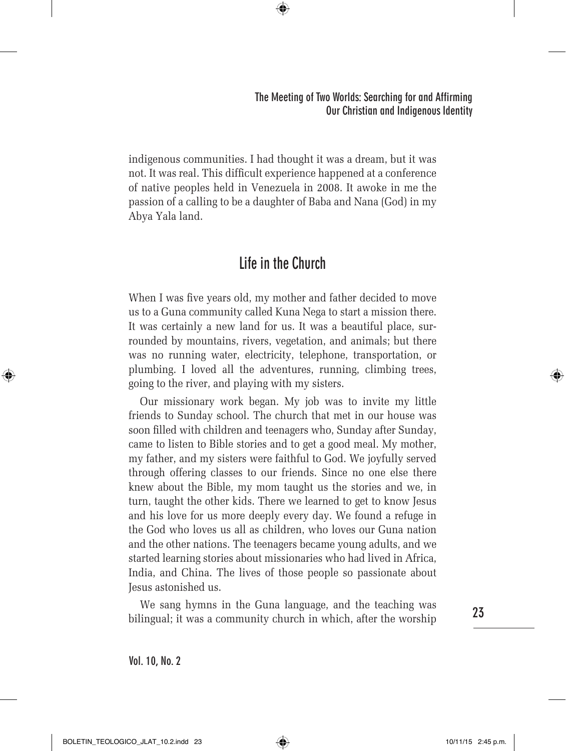indigenous communities. I had thought it was a dream, but it was not. It was real. This difficult experience happened at a conference of native peoples held in Venezuela in 2008. It awoke in me the passion of a calling to be a daughter of Baba and Nana (God) in my Abya Yala land.

 $\bigoplus$ 

# **Life in the Church**

When I was five years old, my mother and father decided to move us to a Guna community called Kuna Nega to start a mission there. It was certainly a new land for us. It was a beautiful place, surrounded by mountains, rivers, vegetation, and animals; but there was no running water, electricity, telephone, transportation, or plumbing. I loved all the adventures, running, climbing trees, going to the river, and playing with my sisters.

Our missionary work began. My job was to invite my little friends to Sunday school. The church that met in our house was soon filled with children and teenagers who, Sunday after Sunday, came to listen to Bible stories and to get a good meal. My mother, my father, and my sisters were faithful to God. We joyfully served through offering classes to our friends. Since no one else there knew about the Bible, my mom taught us the stories and we, in turn, taught the other kids. There we learned to get to know Jesus and his love for us more deeply every day. We found a refuge in the God who loves us all as children, who loves our Guna nation and the other nations. The teenagers became young adults, and we started learning stories about missionaries who had lived in Africa, India, and China. The lives of those people so passionate about Jesus astonished us.

We sang hymns in the Guna language, and the teaching was bilingual; it was a community church in which, after the worship

**23**

⊕

**Vol. 10, No. 2**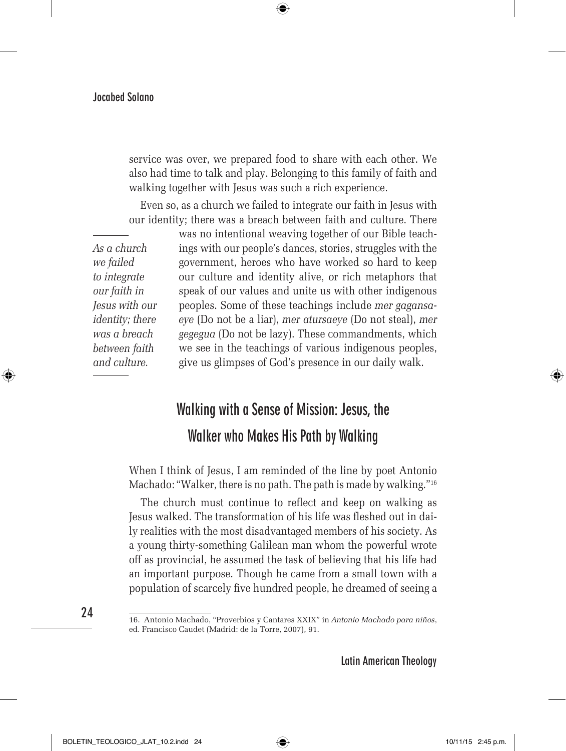service was over, we prepared food to share with each other. We also had time to talk and play. Belonging to this family of faith and walking together with Jesus was such a rich experience.

⊕

Even so, as a church we failed to integrate our faith in Jesus with our identity; there was a breach between faith and culture. There

*As a church we failed to integrate our faith in Jesus with our identity; there was a breach between faith and culture.*

was no intentional weaving together of our Bible teachings with our people's dances, stories, struggles with the government, heroes who have worked so hard to keep our culture and identity alive, or rich metaphors that speak of our values and unite us with other indigenous peoples. Some of these teachings include *mer gagansaeye* (Do not be a liar), *mer atursaeye* (Do not steal), *mer gegegua* (Do not be lazy). These commandments, which we see in the teachings of various indigenous peoples, give us glimpses of God's presence in our daily walk.

# **Walking with a Sense of Mission: Jesus, the Walker who Makes His Path by Walking**

When I think of Jesus, I am reminded of the line by poet Antonio Machado: "Walker, there is no path. The path is made by walking."16

The church must continue to reflect and keep on walking as Jesus walked. The transformation of his life was fleshed out in daily realities with the most disadvantaged members of his society. As a young thirty-something Galilean man whom the powerful wrote off as provincial, he assumed the task of believing that his life had an important purpose. Though he came from a small town with a population of scarcely five hundred people, he dreamed of seeing a

⊕

**Latin American Theology**

<sup>16.</sup> Antonio Machado, "Proverbios y Cantares XXIX" in *Antonio Machado para niños*, ed. Francisco Caudet (Madrid: de la Torre, 2007), 91.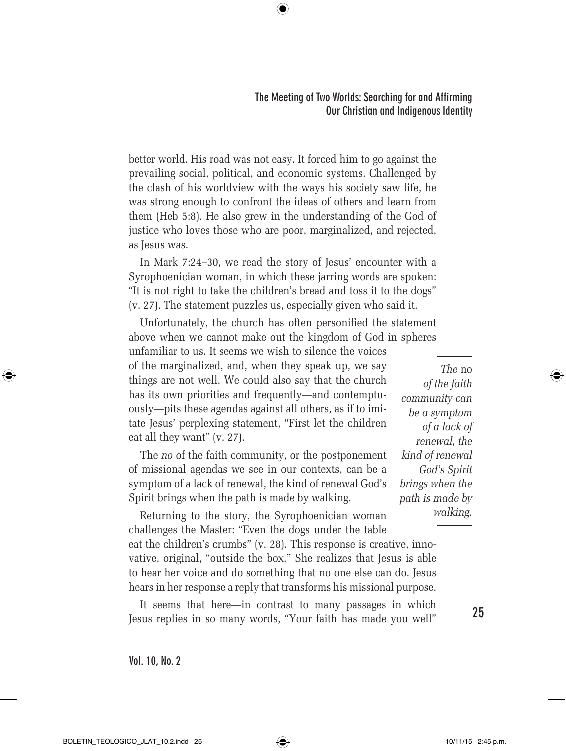better world. His road was not easy. It forced him to go against the prevailing social, political, and economic systems. Challenged by the clash of his worldview with the ways his society saw life, he was strong enough to confront the ideas of others and learn from them (Heb 5:8). He also grew in the understanding of the God of justice who loves those who are poor, marginalized, and rejected, as Jesus was.

⊕

In Mark 7:24–30, we read the story of Jesus' encounter with a Syrophoenician woman, in which these jarring words are spoken: "It is not right to take the children's bread and toss it to the dogs" (v. 27). The statement puzzles us, especially given who said it.

Unfortunately, the church has often personified the statement above when we cannot make out the kingdom of God in spheres unfamiliar to us. It seems we wish to silence the voices of the marginalized, and, when they speak up, we say things are not well. We could also say that the church has its own priorities and frequently—and contemptuously—pits these agendas against all others, as if to imitate Jesus' perplexing statement, "First let the children eat all they want" (v. 27).

The *no* of the faith community, or the postponement of missional agendas we see in our contexts, can be a symptom of a lack of renewal, the kind of renewal God's Spirit brings when the path is made by walking.

Returning to the story, the Syrophoenician woman challenges the Master: "Even the dogs under the table

eat the children's crumbs" (v. 28). This response is creative, innovative, original, "outside the box." She realizes that Jesus is able to hear her voice and do something that no one else can do. Jesus hears in her response a reply that transforms his missional purpose.

It seems that here—in contrast to many passages in which Jesus replies in so many words, "Your faith has made you well"

*The* no *of the faith community can be a symptom of a lack of renewal, the kind of renewal God's Spirit brings when the path is made by walking.*

**25**

⊕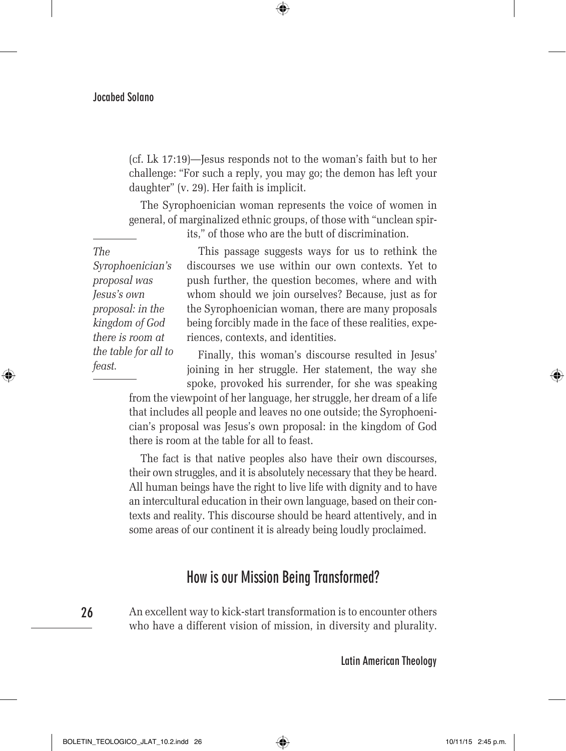(cf. Lk 17:19)—Jesus responds not to the woman's faith but to her challenge: "For such a reply, you may go; the demon has left your daughter" (v. 29). Her faith is implicit.

⊕

The Syrophoenician woman represents the voice of women in general, of marginalized ethnic groups, of those with "unclean spir-

*The* 

⊕

its," of those who are the butt of discrimination.

*Syrophoenician's proposal was Jesus's own proposal: in the kingdom of God there is room at the table for all to feast.*

This passage suggests ways for us to rethink the discourses we use within our own contexts. Yet to push further, the question becomes, where and with whom should we join ourselves? Because, just as for the Syrophoenician woman, there are many proposals being forcibly made in the face of these realities, experiences, contexts, and identities.

Finally, this woman's discourse resulted in Jesus' joining in her struggle. Her statement, the way she spoke, provoked his surrender, for she was speaking

from the viewpoint of her language, her struggle, her dream of a life that includes all people and leaves no one outside; the Syrophoenician's proposal was Jesus's own proposal: in the kingdom of God there is room at the table for all to feast.

The fact is that native peoples also have their own discourses, their own struggles, and it is absolutely necessary that they be heard. All human beings have the right to live life with dignity and to have an intercultural education in their own language, based on their contexts and reality. This discourse should be heard attentively, and in some areas of our continent it is already being loudly proclaimed.

### **How is our Mission Being Transformed?**

**26**

An excellent way to kick-start transformation is to encounter others who have a different vision of mission, in diversity and plurality.

**Latin American Theology**

BOLETIN\_TEOLOGICO\_JLAT\_10.2.indd 26 10/11/15 2:45 p.m.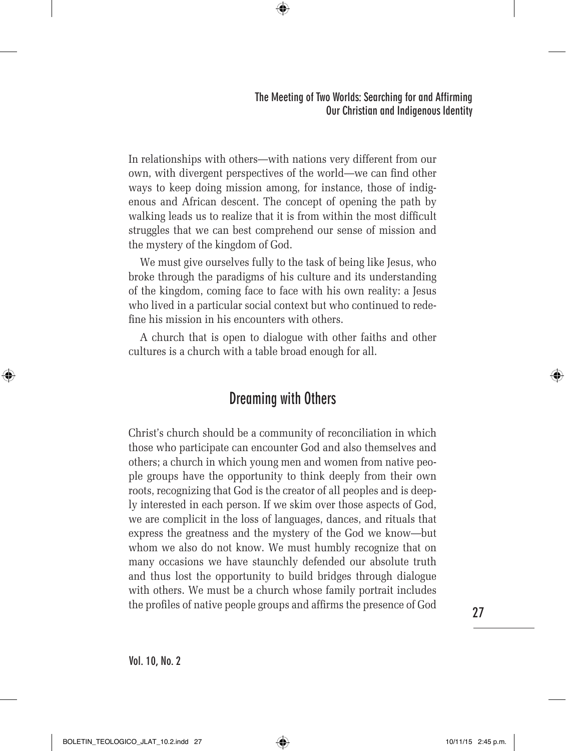In relationships with others—with nations very different from our own, with divergent perspectives of the world—we can find other ways to keep doing mission among, for instance, those of indigenous and African descent. The concept of opening the path by walking leads us to realize that it is from within the most difficult struggles that we can best comprehend our sense of mission and the mystery of the kingdom of God.

 $\bigoplus$ 

We must give ourselves fully to the task of being like Jesus, who broke through the paradigms of his culture and its understanding of the kingdom, coming face to face with his own reality: a Jesus who lived in a particular social context but who continued to redefine his mission in his encounters with others.

A church that is open to dialogue with other faiths and other cultures is a church with a table broad enough for all.

### **Dreaming with Others**

Christ's church should be a community of reconciliation in which those who participate can encounter God and also themselves and others; a church in which young men and women from native people groups have the opportunity to think deeply from their own roots, recognizing that God is the creator of all peoples and is deeply interested in each person. If we skim over those aspects of God, we are complicit in the loss of languages, dances, and rituals that express the greatness and the mystery of the God we know—but whom we also do not know. We must humbly recognize that on many occasions we have staunchly defended our absolute truth and thus lost the opportunity to build bridges through dialogue with others. We must be a church whose family portrait includes the profiles of native people groups and affirms the presence of God

**27**

↔

**Vol. 10, No. 2**